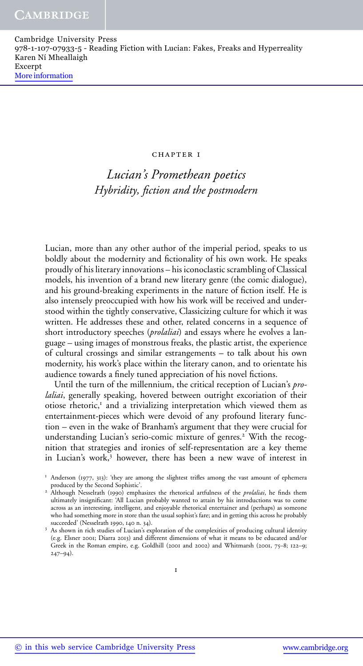#### CHAPTER I

# *Lucian's Promethean poetics Hybridity, fiction and the postmodern*

Lucian, more than any other author of the imperial period, speaks to us boldly about the modernity and fictionality of his own work. He speaks proudly of his literary innovations – his iconoclastic scrambling of Classical models, his invention of a brand new literary genre (the comic dialogue), and his ground-breaking experiments in the nature of fiction itself. He is also intensely preoccupied with how his work will be received and understood within the tightly conservative, Classicizing culture for which it was written. He addresses these and other, related concerns in a sequence of short introductory speeches (*prolaliai*) and essays where he evolves a language – using images of monstrous freaks, the plastic artist, the experience of cultural crossings and similar estrangements – to talk about his own modernity, his work's place within the literary canon, and to orientate his audience towards a finely tuned appreciation of his novel fictions.

Until the turn of the millennium, the critical reception of Lucian's *prolaliai*, generally speaking, hovered between outright excoriation of their otiose rhetoric,<sup>1</sup> and a trivializing interpretation which viewed them as entertainment-pieces which were devoid of any profound literary function – even in the wake of Branham's argument that they were crucial for understanding Lucian's serio-comic mixture of genres.<sup>2</sup> With the recognition that strategies and ironies of self-representation are a key theme in Lucian's work,<sup>3</sup> however, there has been a new wave of interest in

<sup>&</sup>lt;sup>1</sup> Anderson (1977, 313): 'they are among the slightest trifles among the vast amount of ephemera produced by the Second Sophistic'. <sup>2</sup> Although Nesselrath (1990) emphasizes the rhetorical artfulness of the *prolaliai*, he finds them

ultimately insignificant: 'All Lucian probably wanted to attain by his introductions was to come across as an interesting, intelligent, and enjoyable rhetorical entertainer and (perhaps) as someone who had something more in store than the usual sophist's fare; and in getting this across he probably succeeded' (Nesselrath 1990, 140 n. 34).<br><sup>3</sup> As shown in rich studies of Lucian's exploration of the complexities of producing cultural identity

<sup>(</sup>e.g. Elsner 2001; Diarra 2013) and different dimensions of what it means to be educated and/or Greek in the Roman empire, e.g. Goldhill (2001 and 2002) and Whitmarsh (2001, 75–8; 122–9;  $247 - 94$ ).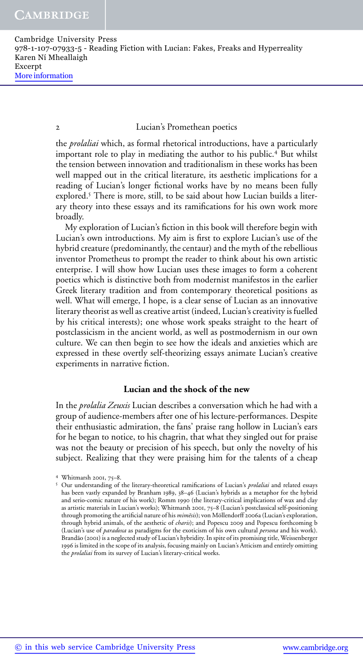2 Lucian's Promethean poetics

the *prolaliai* which, as formal rhetorical introductions, have a particularly important role to play in mediating the author to his public.<sup>4</sup> But whilst the tension between innovation and traditionalism in these works has been well mapped out in the critical literature, its aesthetic implications for a reading of Lucian's longer fictional works have by no means been fully explored.<sup>5</sup> There is more, still, to be said about how Lucian builds a literary theory into these essays and its ramifications for his own work more broadly.

My exploration of Lucian's fiction in this book will therefore begin with Lucian's own introductions. My aim is first to explore Lucian's use of the hybrid creature (predominantly, the centaur) and the myth of the rebellious inventor Prometheus to prompt the reader to think about his own artistic enterprise. I will show how Lucian uses these images to form a coherent poetics which is distinctive both from modernist manifestos in the earlier Greek literary tradition and from contemporary theoretical positions as well. What will emerge, I hope, is a clear sense of Lucian as an innovative literary theorist as well as creative artist (indeed, Lucian's creativity is fuelled by his critical interests); one whose work speaks straight to the heart of postclassicism in the ancient world, as well as postmodernism in our own culture. We can then begin to see how the ideals and anxieties which are expressed in these overtly self-theorizing essays animate Lucian's creative experiments in narrative fiction.

## **Lucian and the shock of the new**

In the *prolalia Zeuxis* Lucian describes a conversation which he had with a group of audience-members after one of his lecture-performances. Despite their enthusiastic admiration, the fans' praise rang hollow in Lucian's ears for he began to notice, to his chagrin, that what they singled out for praise was not the beauty or precision of his speech, but only the novelty of his subject. Realizing that they were praising him for the talents of a cheap

<sup>4</sup> Whitmarsh <sup>2001</sup>, <sup>75</sup>–8. <sup>5</sup> Our understanding of the literary-theoretical ramifications of Lucian's *prolaliai* and related essays has been vastly expanded by Branham 1989, 38–46 (Lucian's hybrids as a metaphor for the hybrid and serio-comic nature of his work); Romm 1990 (the literary-critical implications of wax and clay as artistic materials in Lucian's works); Whitmarsh 2001, 75–8 (Lucian's postclassical self-positioning through promoting the artificial nature of his *mimēsis*); von Möllendorff 2006a (Lucian's exploration, through hybrid animals, of the aesthetic of *charis*); and Popescu 2009 and Popescu forthcoming b (Lucian's use of *paradoxa* as paradigms for the exoticism of his own cultural *persona* and his work). Brandão (2001) is a neglected study of Lucian's hybridity. In spite of its promising title, Weissenberger 1996 is limited in the scope of its analysis, focusing mainly on Lucian's Atticism and entirely omitting the *prolaliai* from its survey of Lucian's literary-critical works.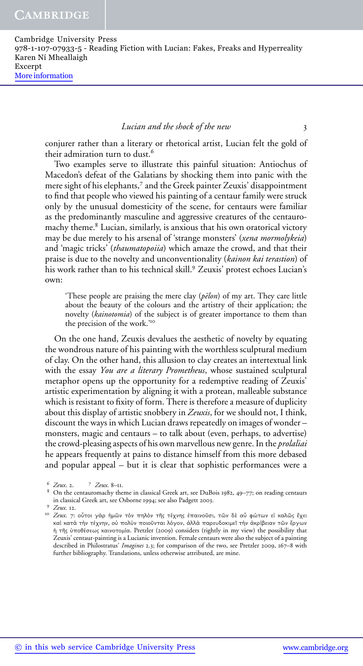### *Lucian and the shock of the new* 3

conjurer rather than a literary or rhetorical artist, Lucian felt the gold of their admiration turn to dust.<sup>6</sup>

Two examples serve to illustrate this painful situation: Antiochus of Macedon's defeat of the Galatians by shocking them into panic with the mere sight of his elephants,<sup>7</sup> and the Greek painter Zeuxis' disappointment to find that people who viewed his painting of a centaur family were struck only by the unusual domesticity of the scene, for centaurs were familiar as the predominantly masculine and aggressive creatures of the centauromachy theme.<sup>8</sup> Lucian, similarly, is anxious that his own oratorical victory may be due merely to his arsenal of 'strange monsters' (*xena mormolykeia*) and 'magic tricks' (*thaumatopoiia*) which amaze the crowd, and that their praise is due to the novelty and unconventionality (*kainon kai terastion*) of his work rather than to his technical skill.<sup>9</sup> Zeuxis' protest echoes Lucian's own:

'These people are praising the mere clay (*pēlon*) of my art. They care little about the beauty of the colours and the artistry of their application; the novelty (*kainotomia*) of the subject is of greater importance to them than the precision of the work.'<sup>10</sup>

On the one hand, Zeuxis devalues the aesthetic of novelty by equating the wondrous nature of his painting with the worthless sculptural medium of clay. On the other hand, this allusion to clay creates an intertextual link with the essay *You are a literary Prometheus*, whose sustained sculptural metaphor opens up the opportunity for a redemptive reading of Zeuxis' artistic experimentation by aligning it with a protean, malleable substance which is resistant to fixity of form. There is therefore a measure of duplicity about this display of artistic snobbery in *Zeuxis*, for we should not, I think, discount the ways in which Lucian draws repeatedly on images of wonder – monsters, magic and centaurs – to talk about (even, perhaps, to advertise) the crowd-pleasing aspects of his own marvellous new genre. In the *prolaliai* he appears frequently at pains to distance himself from this more debased and popular appeal – but it is clear that sophistic performances were a

<sup>6</sup> *Zeux.* 2. <sup>7</sup> *Zeux.* 8–11.<br><sup>8</sup> On the centauromachy theme in classical Greek art, see DuBois 1982, 49–77; on reading centaurs in classical Greek art, see Osborne 1994; see also Padgett 2003.

in classical Greek art, see Osborne <sup>1994</sup>; see also Padgett <sup>2003</sup>. <sup>9</sup> *Zeux.* <sup>12</sup>. <sup>10</sup> *Zeux.* <sup>7</sup>: **οὗτοι γὰρ ἡμῶν τὸν πηλὸν τῆς τέχνης ἐπαινοῦσι**, **τῶν δὲ αὖ φώτων εἰκαλῶς ἔχει καὶ κατὰ τὴν τέχνην**, **οὐ πολὺν ποιοῦνται λόγον**, **ἀλλὰ παρευδοκιμεῖ τὴν ἀκρίβειαν τῶν ἔργων ἡ τῆς ὑποθέσεως καινοτομία**. Pretzler (2009) considers (rightly in my view) the possibility that Zeuxis' centaur-painting is a Lucianic invention. Female centaurs were also the subject of a painting described in Philostratus' *Imagines* 2.3; for comparison of the two, see Pretzler 2009, 167–8 with further bibliography. Translations, unless otherwise attributed, are mine.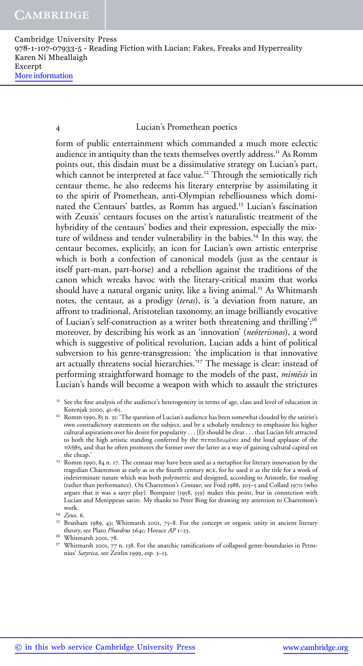4 Lucian's Promethean poetics

form of public entertainment which commanded a much more eclectic audience in antiquity than the texts themselves overtly address.<sup>11</sup> As Romm points out, this disdain must be a dissimulative strategy on Lucian's part, which cannot be interpreted at face value.<sup>12</sup> Through the semiotically rich centaur theme, he also redeems his literary enterprise by assimilating it to the spirit of Promethean, anti-Olympian rebelliousness which dominated the Centaurs' battles, as Romm has argued.<sup>13</sup> Lucian's fascination with Zeuxis' centaurs focuses on the artist's naturalistic treatment of the hybridity of the centaurs' bodies and their expression, especially the mixture of wildness and tender vulnerability in the babies.<sup>14</sup> In this way, the centaur becomes, explicitly, an icon for Lucian's own artistic enterprise which is both a confection of canonical models (just as the centaur is itself part-man, part-horse) and a rebellion against the traditions of the canon which wreaks havoc with the literary-critical maxim that works should have a natural organic unity, like a living animal.<sup>15</sup> As Whitmarsh notes, the centaur, as a prodigy (*teras*), is 'a deviation from nature, an affront to traditional, Aristotelian taxonomy, an image brilliantly evocative of Lucian's self-construction as a writer both threatening and thrilling';<sup>16</sup> moreover, by describing his work as an 'innovation' (*neoterismos*), a word which is suggestive of political revolution, Lucian adds a hint of political subversion to his genre-transgression: 'the implication is that innovative art actually threatens social hierarchies.'<sup>17</sup> The message is clear: instead of performing straightforward homage to the models of the past, *mimesis* in Lucian's hands will become a weapon with which to assault the strictures

- <sup>11</sup> See the fine analysis of the audience's heterogeneity in terms of age, class and level of education in Korenjak 2000, 41–65.
- <sup>12</sup> Romm 1990, 85 n. 31: 'The question of Lucian's audience has been somewhat clouded by the satirist's own contradictory statements on the subject, and by a scholarly tendency to emphasize his higher cultural aspirations over his desire for popularity . . . [I]t should be clear . . . that Lucian felt attracted to both the high artistic standing conferred by the **πεπαιδευμένοι** and the loud applause of the **πλήθη**, and that he often promotes the former over the latter as a way of gaining cultural capital on
- <sup>13</sup> Romm 1990, 84 n. 17. The centaur may have been used as a metaphor for literary innovation by the tragedian Chaeremon as early as in the fourth century bce, for he used it as the title for a work of indeterminate nature which was both polymetric and designed, according to Aristotle, for *reading* (rather than performance). On Chaeremon's *Centaur*, see Ford 1988, 303–5 and Collard 1970 (who argues that it was a satyr play). Bompaire (1958, 559) makes this point, but in connection with Lucian and Menippean satire. My thanks to Peter Bing for drawing my attention to Chaeremon's

work.<br><sup>14</sup> *Zeux.* 6. 15 Branham 1989, 43; Whitmarsh 2001, 75–8. For the concept or organic unity in ancient literary<br>theory, see Plato *Phaedrus* 264c; Horace *AP* 1–23.

<sup>&</sup>lt;sup>16</sup> Whitmarsh 2001, 78.<br><sup>17</sup> Whitmarsh 2001, 77 n. 138. For the anarchic ramifications of collapsed genre-boundaries in Petronius' *Satyrica*, see Zeitlin 1999, esp. 3–13.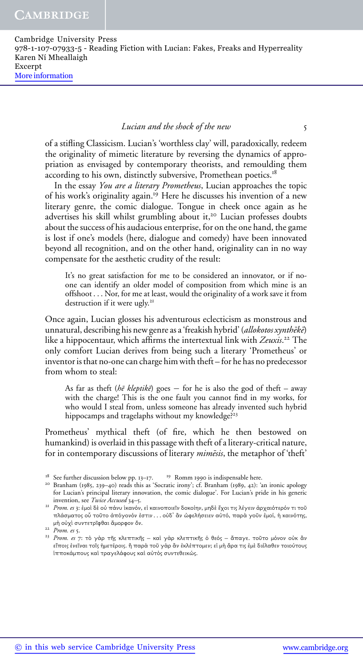## *Lucian and the shock of the new* 5

of a stifling Classicism. Lucian's 'worthless clay' will, paradoxically, redeem the originality of mimetic literature by reversing the dynamics of appropriation as envisaged by contemporary theorists, and remoulding them according to his own, distinctly subversive, Promethean poetics.<sup>18</sup>

In the essay *You are a literary Prometheus*, Lucian approaches the topic of his work's originality again.<sup>19</sup> Here he discusses his invention of a new literary genre, the comic dialogue. Tongue in cheek once again as he advertises his skill whilst grumbling about it,<sup>20</sup> Lucian professes doubts about the success of his audacious enterprise, for on the one hand, the game is lost if one's models (here, dialogue and comedy) have been innovated beyond all recognition, and on the other hand, originality can in no way compensate for the aesthetic crudity of the result:

It's no great satisfaction for me to be considered an innovator, or if noone can identify an older model of composition from which mine is an offshoot . . . Nor, for me at least, would the originality of a work save it from destruction if it were ugly.<sup>21</sup>

Once again, Lucian glosses his adventurous eclecticism as monstrous and unnatural, describing his new genre as a 'freakish hybrid' (allokotos xynthēkē) like a hippocentaur, which affirms the intertextual link with *Zeuxis*. <sup>22</sup> The only comfort Lucian derives from being such a literary 'Prometheus' or inventor is that no-one can charge him with theft – for he has no predecessor from whom to steal:

As far as theft (*hē kleptikē*) goes – for he is also the god of theft – away with the charge! This is the one fault you cannot find in my works, for who would I steal from, unless someone has already invented such hybrid hippocamps and tragelaphs without my knowledge?<sup>23</sup>

Prometheus' mythical theft (of fire, which he then bestowed on humankind) is overlaid in this passage with theft of a literary-critical nature, for in contemporary discussions of literary *mimesis*, the metaphor of 'theft'

<sup>&</sup>lt;sup>18</sup> See further discussion below pp. 13–17. <sup>19</sup> Romm 1990 is indispensable here.<br><sup>20</sup> Branham (1985, 239–40) reads this as 'Socratic irony'; cf. Branham (1989, 42): 'an ironic apology for Lucian's principal literary innovation, the comic dialogue'. For Lucian's pride in his generic invention, see Twice Accused 34-5.

invention, see *Twice Accused* <sup>34</sup>–5. <sup>21</sup> *Prom. es* <sup>3</sup>: **ἐμοὶ δὲ οὐ πάνυ ἱκανόν**, **εἰκαινοποιεῖν δοκοίην**, **μηδὲ ἔχοι τις λέγειν ἀρχαιότερόν τι τοῦ πλάσματος οὗ τοῦτο ἀπόγονόν ἐστιν** ... **οὐδ**' **ἂν ὠφελήσειεν αὐτό**, **παρὰ γοῦν ἐμοί**, **ἡ καινότης**,

**μὴ οὐχὶ συντετρῖφθαι ἄμορφον ὄν**. <sup>22</sup> *Prom. es* <sup>5</sup>. <sup>23</sup> *Prom. es* <sup>7</sup>: **τὸ γὰρ τῆς κλεπτικῆς** – **καὶ γὰρ κλεπτικῆς ὁ θεός** – **ἄπαγε**. **τοῦτο μόνον οὐκ ἂν εἴποις ἐνεῖναι τοῖς ἡμετέροις**. **ἢ παρὰ τοῦ γὰρ ἂν ἐκλέπτομεν**; **εἰμὴ ἄρα τις ἐμὲ διέλαθεν τοιούτους ἱπποκάμπους καὶ τραγελάφους καὶ αὐτὸς συντεθεικώς**.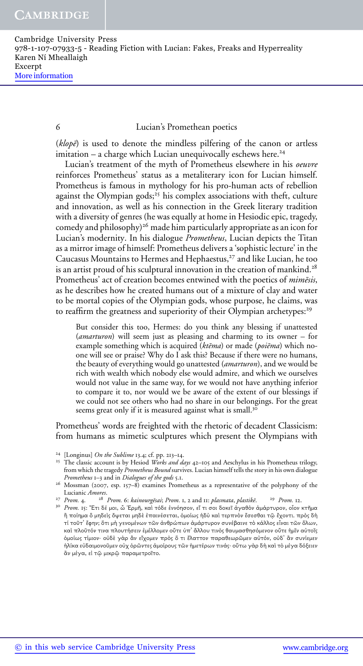#### 6 Lucian's Promethean poetics

 $(klop\bar{e})$  is used to denote the mindless pilfering of the canon or artless imitation  $-$  a charge which Lucian unequivocally eschews here.<sup>24</sup>

Lucian's treatment of the myth of Prometheus elsewhere in his *oeuvre* reinforces Prometheus' status as a metaliterary icon for Lucian himself. Prometheus is famous in mythology for his pro-human acts of rebellion against the Olympian gods;<sup>25</sup> his complex associations with theft, culture and innovation, as well as his connection in the Greek literary tradition with a diversity of genres (he was equally at home in Hesiodic epic, tragedy, comedy and philosophy)<sup>26</sup> made him particularly appropriate as an icon for Lucian's modernity. In his dialogue *Prometheus*, Lucian depicts the Titan as a mirror image of himself: Prometheus delivers a 'sophistic lecture' in the Caucasus Mountains to Hermes and Hephaestus,<sup>27</sup> and like Lucian, he too is an artist proud of his sculptural innovation in the creation of mankind.<sup>28</sup> Prometheus' act of creation becomes entwined with the poetics of *mimesis*, as he describes how he created humans out of a mixture of clay and water to be mortal copies of the Olympian gods, whose purpose, he claims, was to reaffirm the greatness and superiority of their Olympian archetypes:<sup>29</sup>

But consider this too, Hermes: do you think any blessing if unattested (*amarturon*) will seem just as pleasing and charming to its owner – for example something which is acquired (*ktēma*) or made (*poiēma*) which noone will see or praise? Why do I ask this? Because if there were no humans, the beauty of everything would go unattested (*amarturon*), and we would be rich with wealth which nobody else would admire, and which we ourselves would not value in the same way, for we would not have anything inferior to compare it to, nor would we be aware of the extent of our blessings if we could not see others who had no share in our belongings. For the great seems great only if it is measured against what is small.<sup>30</sup>

Prometheus' words are freighted with the rhetoric of decadent Classicism: from humans as mimetic sculptures which present the Olympians with

- 27 Prom. 4. <sup>28</sup> Prom. 6: kainourgēsai; Prom. 1, 2 and 11: plasmata, plastikē. <sup>29</sup> Prom. 12.<br><sup>30</sup> Prom. 15: "Ετι δέ μοι, ὦ Έρμῆ, καὶ τόδε ἐννόησον, εἴ τι σοι δοκεῖ ἀγαθὸν ἀμάρτυρον, οἶον κτῆμα
- **ἢ ποίημα ὃ μηδεὶς ὄψεται μηδὲ ἐπαινέσεται**, **ὁμοίως ἡδὺ καὶ τερπνὸν ἔσεσθαι τῷ ἔχοντι**. **πρὸς δὴ τί τοῦτ**' **ἔφην**; **ὅτι μὴ γενομένων τῶν ἀνθρώπων ἀμάρτυρον συνέβαινε τὸ κάλλος εἶναι τῶν ὅλων**, **καὶ πλοῦτόν τινα πλουτήσειν ἐμέλλομεν οὔτε ὑπ**' **ἄλλου τινὸς θαυμασθησόμενον οὔτε ἡμῖν αὐτοῖς ὁμοίως τίμιον**· **οὐδὲ γὰρ ἂν εἴχομεν πρὸς ὅ τι ἔλαττον παραθεωρῶμεν αὐτόν**, **οὐδ**' **ἂν συνίεμεν ἡλίκα εὐδαιμονοῦμεν οὐχ ὁρῶντες ἀμοίρους τῶν ἡμετέρων τινάς**· **οὕτω γὰρ δὴ καὶ τὸ μέγα δόξειεν ἂν μέγα**, **εἰτῷ μικρῷ παραμετροῖτο**.

<sup>&</sup>lt;sup>24</sup> [Longinus] *On the Sublime* 13.4; cf. pp. 213–14.<br><sup>25</sup> The classic account is by Hesiod *Works and days* 42–105 and Aeschylus in his Prometheus trilogy, from which the tragedy *Prometheus Bound* survives. Lucian himself tells the story in his own dialogue

<sup>&</sup>lt;sup>26</sup> Mossman (2007, esp. 157–8) examines Prometheus as a representative of the polyphony of the Lucianic *Amores*.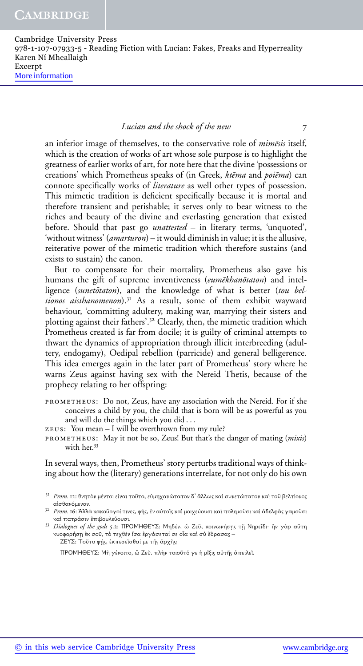### *Lucian and the shock of the new* 7

an inferior image of themselves, to the conservative role of *mimesis* itself, which is the creation of works of art whose sole purpose is to highlight the greatness of earlier works of art, for note here that the divine 'possessions or creations' which Prometheus speaks of (in Greek, *ktēma* and *poiēma*) can connote specifically works of *literature* as well other types of possession. This mimetic tradition is deficient specifically because it is mortal and therefore transient and perishable; it serves only to bear witness to the riches and beauty of the divine and everlasting generation that existed before. Should that past go *unattested* – in literary terms, 'unquoted', 'without witness' (*amarturon*) – it would diminish in value; it is the allusive, reiterative power of the mimetic tradition which therefore sustains (and exists to sustain) the canon.

But to compensate for their mortality, Prometheus also gave his humans the gift of supreme inventiveness (*eumēkhanōtaton*) and intelligence (*sunetotaton*), and the knowledge of what is better (*tou beltionos aisthanomenon*).<sup>31</sup> As a result, some of them exhibit wayward behaviour, 'committing adultery, making war, marrying their sisters and plotting against their fathers'.<sup>32</sup> Clearly, then, the mimetic tradition which Prometheus created is far from docile; it is guilty of criminal attempts to thwart the dynamics of appropriation through illicit interbreeding (adultery, endogamy), Oedipal rebellion (parricide) and general belligerence. This idea emerges again in the later part of Prometheus' story where he warns Zeus against having sex with the Nereid Thetis, because of the prophecy relating to her offspring:

- prometheus: Do not, Zeus, have any association with the Nereid. For if she conceives a child by you, the child that is born will be as powerful as you and will do the things which you did . . .
- zeus: You mean I will be overthrown from my rule?
- prometheus: May it not be so, Zeus! But that's the danger of mating (*mixis*) with her.<sup>33</sup>

In several ways, then, Prometheus' story perturbs traditional ways of thinking about how the (literary) generations interrelate, for not only do his own

**καὶ πατράσιν ἐπιβουλεύουσι**. <sup>33</sup> *Dialogues of the gods* <sup>5</sup>.2: **ΠΡΟΜΗΘΕΥΣ**: **Μηδέν**, **ὦ Ζεῦ**, **κοινωνήσῃς τῇ Νηρεΐδι**· **ἢν γὰρ αὕτη κυοφορήσῃ ἐκ σοῦ**, **τὸ τεχθὲν ἴσα ἐργάσεταί σε οἷα καὶ σὺ ἔδρασας** – **ΖΕΥΣ**: **Τοῦτο φῄς**, **ἐκπεσεῖσθαί με τῆς ἀρχῆς**;

**ΠΡΟΜΗΘΕΥΣ**: **Μὴ γένοιτο**, **ὦ Ζεῦ**. **πλὴν τοιοῦτό γε ἡ μῖξις αὐτῆς ἀπειλεῖ**.

<sup>31</sup> *Prom.* 12: **θνητὸν μέντοι εἶναι τοῦτο**, **εὐμηχανώτατον δ**' **ἄλλως καὶ συνετώτατον καὶ τοῦ βελτίονος**

**αἰσθανόμενον**. <sup>32</sup> *Prom.* <sup>16</sup>: **᾿Αλλὰ κακοῦργοί τινες**, **φής**, **ἐν αὐτοῖς καὶ μοιχεύουσι καὶ πολεμοῦσι καὶ ἀδελφὰς γαμοῦσι**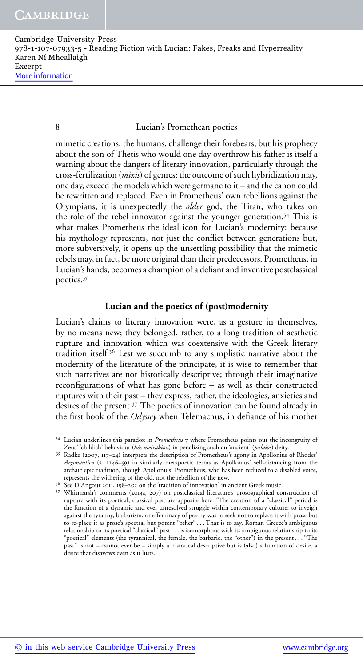8 Lucian's Promethean poetics

mimetic creations, the humans, challenge their forebears, but his prophecy about the son of Thetis who would one day overthrow his father is itself a warning about the dangers of literary innovation, particularly through the cross-fertilization (*mixis*) of genres: the outcome of such hybridization may, one day, exceed the models which were germane to it – and the canon could be rewritten and replaced. Even in Prometheus' own rebellions against the Olympians, it is unexpectedly the *older* god, the Titan, who takes on the role of the rebel innovator against the younger generation.<sup>34</sup> This is what makes Prometheus the ideal icon for Lucian's modernity: because his mythology represents, not just the conflict between generations but, more subversively, it opens up the unsettling possibility that the mimetic rebels may, in fact, be more original than their predecessors. Prometheus, in Lucian's hands, becomes a champion of a defiant and inventive postclassical poetics.<sup>35</sup>

## **Lucian and the poetics of (post)modernity**

Lucian's claims to literary innovation were, as a gesture in themselves, by no means new; they belonged, rather, to a long tradition of aesthetic rupture and innovation which was coextensive with the Greek literary tradition itself.<sup>36</sup> Lest we succumb to any simplistic narrative about the modernity of the literature of the principate, it is wise to remember that such narratives are not historically descriptive; through their imaginative reconfigurations of what has gone before – as well as their constructed ruptures with their past – they express, rather, the ideologies, anxieties and desires of the present.<sup>37</sup> The poetics of innovation can be found already in the first book of the *Odyssey* when Telemachus, in defiance of his mother

<sup>&</sup>lt;sup>34</sup> Lucian underlines this paradox in *Prometheus* 7 where Prometheus points out the incongruity of Zeus' 'childish' behaviour (*hōs meirakiou*) in penalizing such an 'ancient' (*palaios*) deity.

<sup>&</sup>lt;sup>35</sup> Radke (2007, 117–24) interprets the description of Prometheus's agony in Apollonius of Rhodes' *Argonautica* (2. 1246–59) in similarly metapoetic terms as Apollonius' self-distancing from the archaic epic tradition, though Apollonius' Prometheus, who has been reduced to a disabled voice, represents the withering of the old, not the rebellion of the new.<br><sup>36</sup> See D'Angour 2011, 198–202 on the 'tradition of innovation' in ancient Greek music.

<sup>&</sup>lt;sup>37</sup> Whitmarsh's comments (2013a, 207) on postclassical literature's prosographical construction of rupture with its poetical, classical past are apposite here: 'The creation of a "classical" period is the function of a dynamic and ever unresolved struggle within contemporary culture: to inveigh against the tyranny, barbarism, or effeminacy of poetry was to seek not to replace it with prose but to re-place it as prose's spectral but potent "other" . . . That is to say, Roman Greece's ambiguous relationship to its poetical "classical" past . . . is isomorphous with its ambiguous relationship to its "poetical" elements (the tyrannical, the female, the barbaric, the "other") in the present . . . "The past" is not – cannot ever be – simply a historical descriptive but is (also) a function of desire, a desire that disavows even as it lusts.'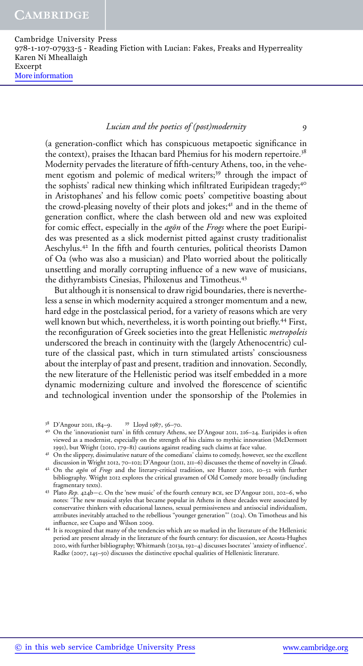## *Lucian and the poetics of (post)modernity* 9

(a generation-conflict which has conspicuous metapoetic significance in the context), praises the Ithacan bard Phemius for his modern repertoire.<sup>38</sup> Modernity pervades the literature of fifth-century Athens, too, in the vehement egotism and polemic of medical writers;<sup>39</sup> through the impact of the sophists' radical new thinking which infiltrated Euripidean tragedy;<sup>40</sup> in Aristophanes' and his fellow comic poets' competitive boasting about the crowd-pleasing novelty of their plots and jokes;<sup>41</sup> and in the theme of generation conflict, where the clash between old and new was exploited for comic effect, especially in the *agon* of the *Frogs* where the poet Euripides was presented as a slick modernist pitted against crusty traditionalist Aeschylus.<sup>42</sup> In the fifth and fourth centuries, political theorists Damon of Oa (who was also a musician) and Plato worried about the politically unsettling and morally corrupting influence of a new wave of musicians, the dithyrambists Cinesias, Philoxenus and Timotheus.<sup>43</sup>

But although it is nonsensical to draw rigid boundaries, there is nevertheless a sense in which modernity acquired a stronger momentum and a new, hard edge in the postclassical period, for a variety of reasons which are very well known but which, nevertheless, it is worth pointing out briefly.<sup>44</sup> First, the reconfiguration of Greek societies into the great Hellenistic *metropoleis* underscored the breach in continuity with the (largely Athenocentric) culture of the classical past, which in turn stimulated artists' consciousness about the interplay of past and present, tradition and innovation. Secondly, the new literature of the Hellenistic period was itself embedded in a more dynamic modernizing culture and involved the florescence of scientific and technological invention under the sponsorship of the Ptolemies in

- <sup>41</sup> On the slippery, dissimulative nature of the comedians' claims to comedy, however, see the excellent discussion in Wright 2012, 70–102; D'Angour (2011, 211–6) discusses the theme of novelty in *Clouds*.
- <sup>42</sup> On the *agon* of *Frogs* and the literary-critical tradition, see Hunter 2010, 10–52 with further bibliography. Wright 2012 explores the critical gravamen of Old Comedy more broadly (including

<sup>&</sup>lt;sup>38</sup> D'Angour 2011, 184–9. <sup>39</sup> Lloyd 1987, 56–70.<br><sup>40</sup> On the 'innovationist turn' in fifth century Athens, see D'Angour 2011, 216–24. Euripides is often viewed as a modernist, especially on the strength of his claims to mythic innovation (McDermott 1991), but Wright (2010, 179–81) cautions against reading such claims at face value.

<sup>&</sup>lt;sup>43</sup> Plato *Rep.* 424b−c. On the 'new music' of the fourth century BCE, see D'Angour 2011, 202–6, who notes: 'The new musical styles that became popular in Athens in these decades were associated by conservative thinkers with educational laxness, sexual permissiveness and antisocial individualism, attributes inevitably attached to the rebellious "younger generation"' (204). On Timotheus and his influence, see Csapo and Wilson <sup>2009</sup>. <sup>44</sup> It is recognized that many of the tendencies which are so marked in the literature of the Hellenistic

period are present already in the literature of the fourth century: for discussion, see Acosta-Hughes 2010, with further bibliography; Whitmarsh (2013a, 192–4) discusses Isocrates' 'anxiety of influence'. Radke (2007, 145–50) discusses the distinctive epochal qualities of Hellenistic literature.